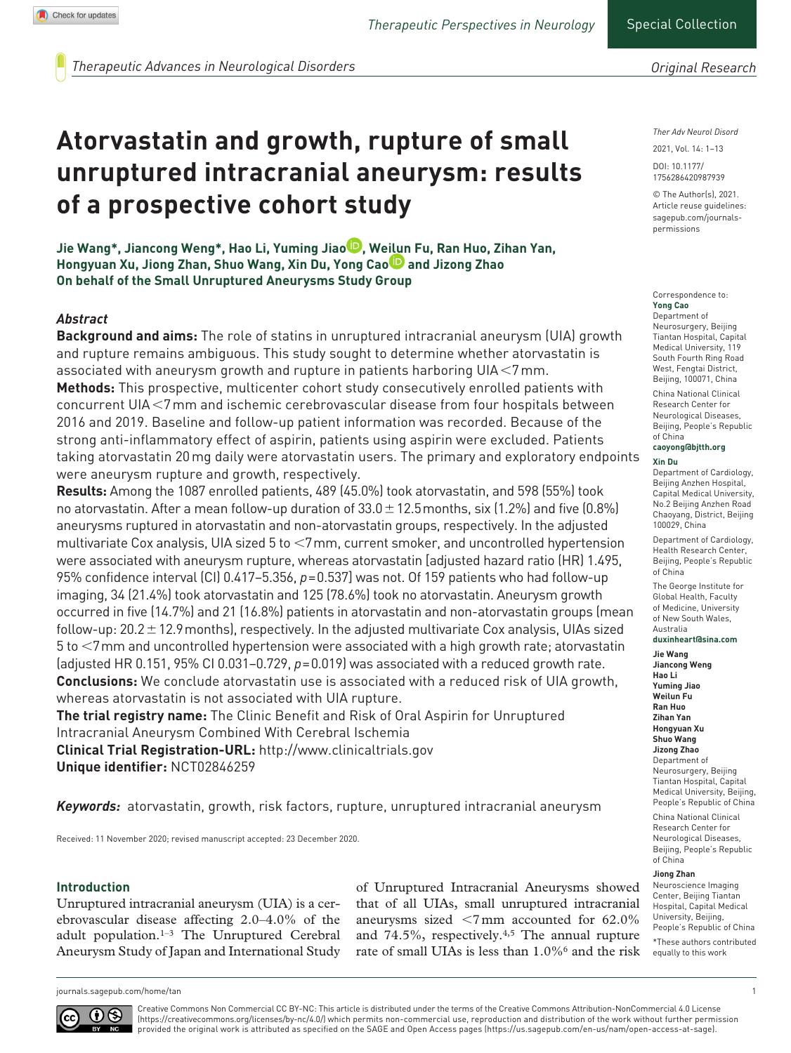*Therapeutic Advances in Neurological Disorders*

# **Atorvastatin and growth, rupture of small unruptured intracranial aneurysm: results of a prospective cohort study**

**Jie Wang\*, Jiancong Weng\*, Hao Li, Yuming Jiao , Weilun Fu, Ran Huo, Zihan Yan, Hongyuan Xu, Jiong Zhan, Shuo Wang, Xin Du, Yong Cao <b>D** and Jizong Zhao **On behalf of the Small Unruptured Aneurysms Study Group** 

#### *Abstract*

**Background and aims:** The role of statins in unruptured intracranial aneurysm (UIA) growth and rupture remains ambiguous. This study sought to determine whether atorvastatin is associated with aneurysm growth and rupture in patients harboring UIA<7mm. **Methods:** This prospective, multicenter cohort study consecutively enrolled patients with concurrent UIA<7mm and ischemic cerebrovascular disease from four hospitals between 2016 and 2019. Baseline and follow-up patient information was recorded. Because of the strong anti-inflammatory effect of aspirin, patients using aspirin were excluded. Patients taking atorvastatin 20mg daily were atorvastatin users. The primary and exploratory endpoints were aneurysm rupture and growth, respectively.

**Results:** Among the 1087 enrolled patients, 489 (45.0%) took atorvastatin, and 598 (55%) took no atorvastatin. After a mean follow-up duration of  $33.0 \pm 12.5$  months, six (1.2%) and five (0.8%) aneurysms ruptured in atorvastatin and non-atorvastatin groups, respectively. In the adjusted multivariate Cox analysis, UIA sized 5 to <7mm, current smoker, and uncontrolled hypertension were associated with aneurysm rupture, whereas atorvastatin [adjusted hazard ratio (HR) 1.495, 95% confidence interval (CI) 0.417–5.356, *p*=0.537] was not. Of 159 patients who had follow-up imaging, 34 (21.4%) took atorvastatin and 125 (78.6%) took no atorvastatin. Aneurysm growth occurred in five (14.7%) and 21 (16.8%) patients in atorvastatin and non-atorvastatin groups (mean follow-up:  $20.2 \pm 12.9$  months), respectively. In the adjusted multivariate Cox analysis, UIAs sized 5 to <7mm and uncontrolled hypertension were associated with a high growth rate; atorvastatin (adjusted HR 0.151, 95% CI 0.031–0.729, *p*=0.019) was associated with a reduced growth rate. **Conclusions:** We conclude atorvastatin use is associated with a reduced risk of UIA growth, whereas atorvastatin is not associated with UIA rupture.

**The trial registry name:** The Clinic Benefit and Risk of Oral Aspirin for Unruptured Intracranial Aneurysm Combined With Cerebral Ischemia **Clinical Trial Registration-URL:**<http://www.clinicaltrials.gov> **Unique identifier:** NCT02846259

*Keywords:* atorvastatin, growth, risk factors, rupture, unruptured intracranial aneurysm

Received: 11 November 2020; revised manuscript accepted: 23 December 2020.

#### **Introduction**

Unruptured intracranial aneurysm (UIA) is a cerebrovascular disease affecting 2.0–4.0% of the adult population.1–3 The Unruptured Cerebral Aneurysm Study of Japan and International Study

of Unruptured Intracranial Aneurysms showed that of all UIAs, small unruptured intracranial aneurysms sized  $\leq$ 7mm accounted for 62.0% and 74.5%, respectively.4,5 The annual rupture rate of small UIAs is less than 1.0%6 and the risk *Original Research*

*Ther Adv Neurol Disord*

DOI: 10.1177/ https://doi.org/10.1177/1756286420987939 1756286420987939 2021, Vol. 14: 1–13

© The Author(s), 2021. Article reuse guidelines: [sagepub.com/journals](https://uk.sagepub.com/en-gb/journals-permissions)[permissions](https://uk.sagepub.com/en-gb/journals-permissions)

#### Correspondence to: **Yong Cao**

Department of Neurosurgery, Beijing Tiantan Hospital, Capital Medical University, 119 South Fourth Ring Road West, Fengtai District, Beijing, 100071, China China National Clinical

Research Center for Neurological Diseases, Beijing, People's Republic of China

#### **[caoyong@bjtth.org](mailto:caoyong@bjtth.org) Xin Du**

Department of Cardiology, Beijing Anzhen Hospital, Capital Medical University, No.2 Beijing Anzhen Road Chaoyang, District, Beijing 100029, China

Department of Cardiology, Health Research Center, Beijing, People's Republic of China

The George Institute for Global Health, Faculty of Medicine, University of New South Wales, Australia **[duxinheart@sina.com](mailto:duxinheart@sina.com)**

#### **Jie Wang**

**Jiancong Weng Hao Li Yuming Jiao Weilun Fu Ran Huo Zihan Yan Hongyuan Xu Shuo Wang Jizong Zhao** Department of Neurosurgery, Beijing Tiantan Hospital, Capital Medical University, Beijing, People's Republic of China

China National Clinical Research Center for Neurological Diseases, Beijing, People's Republic of China

#### **Jiong Zhan**

Neuroscience Imaging Center, Beijing Tiantan Hospital, Capital Medical University, Beijing, People's Republic of China

\*These authors contributed equally to this work

[journals.sagepub.com/home/tan](https://journals.sagepub.com/home/tan) 1



Creative Commons Non Commercial CC BY-NC: This article is distributed under the terms of the Creative Commons Attribution-NonCommercial 4.0 License (https://creativecommons.org/licenses/by-nc/4.0/) which permits non-commercial use, reproduction and distribution of the work without further permission provided the original work is attributed as specified on the SAGE and Open Access pages (https://us.sagepub.com/en-us/nam/open-access-at-sage).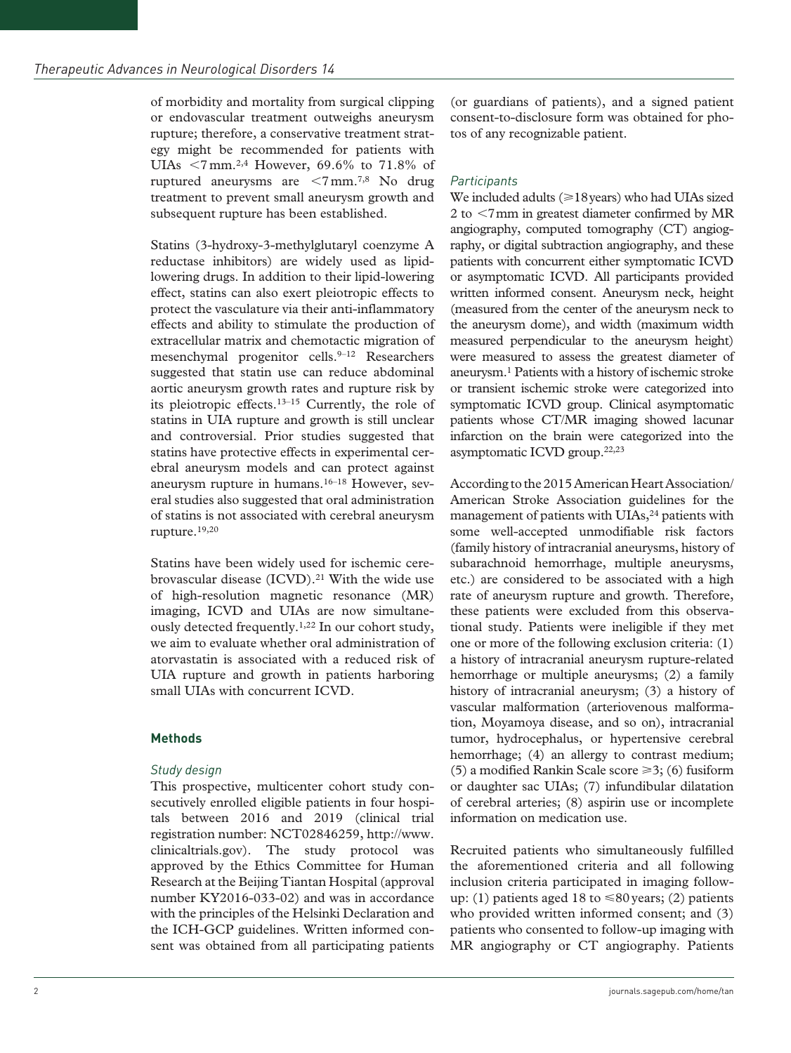of morbidity and mortality from surgical clipping or endovascular treatment outweighs aneurysm rupture; therefore, a conservative treatment strategy might be recommended for patients with UIAs  $\leq$ 7 mm.<sup>2,4</sup> However, 69.6% to 71.8% of ruptured aneurysms are <7mm.7,8 No drug treatment to prevent small aneurysm growth and subsequent rupture has been established.

Statins (3-hydroxy-3-methylglutaryl coenzyme A reductase inhibitors) are widely used as lipidlowering drugs. In addition to their lipid-lowering effect, statins can also exert pleiotropic effects to protect the vasculature via their anti-inflammatory effects and ability to stimulate the production of extracellular matrix and chemotactic migration of mesenchymal progenitor cells.<sup>9-12</sup> Researchers suggested that statin use can reduce abdominal aortic aneurysm growth rates and rupture risk by its pleiotropic effects.13–15 Currently, the role of statins in UIA rupture and growth is still unclear and controversial. Prior studies suggested that statins have protective effects in experimental cerebral aneurysm models and can protect against aneurysm rupture in humans.16–18 However, several studies also suggested that oral administration of statins is not associated with cerebral aneurysm rupture.19,20

Statins have been widely used for ischemic cerebrovascular disease (ICVD).<sup>21</sup> With the wide use of high-resolution magnetic resonance (MR) imaging, ICVD and UIAs are now simultaneously detected frequently.<sup>1,22</sup> In our cohort study, we aim to evaluate whether oral administration of atorvastatin is associated with a reduced risk of UIA rupture and growth in patients harboring small UIAs with concurrent ICVD.

#### **Methods**

#### *Study design*

This prospective, multicenter cohort study consecutively enrolled eligible patients in four hospitals between 2016 and 2019 (clinical trial registration number: NCT02846259, [http://www.](http://www.clinicaltrials.gov) [clinicaltrials.gov\)](http://www.clinicaltrials.gov). The study protocol was approved by the Ethics Committee for Human Research at the Beijing Tiantan Hospital (approval number KY2016-033-02) and was in accordance with the principles of the Helsinki Declaration and the ICH-GCP guidelines. Written informed consent was obtained from all participating patients (or guardians of patients), and a signed patient consent-to-disclosure form was obtained for photos of any recognizable patient.

### *Participants*

We included adults ( $\geq 18$ years) who had UIAs sized 2 to <7mm in greatest diameter confirmed by MR angiography, computed tomography (CT) angiography, or digital subtraction angiography, and these patients with concurrent either symptomatic ICVD or asymptomatic ICVD. All participants provided written informed consent. Aneurysm neck, height (measured from the center of the aneurysm neck to the aneurysm dome), and width (maximum width measured perpendicular to the aneurysm height) were measured to assess the greatest diameter of aneurysm.1 Patients with a history of ischemic stroke or transient ischemic stroke were categorized into symptomatic ICVD group. Clinical asymptomatic patients whose CT/MR imaging showed lacunar infarction on the brain were categorized into the asymptomatic ICVD group.22,23

According to the 2015 American Heart Association/ American Stroke Association guidelines for the management of patients with UIAs,<sup>24</sup> patients with some well-accepted unmodifiable risk factors (family history of intracranial aneurysms, history of subarachnoid hemorrhage, multiple aneurysms, etc.) are considered to be associated with a high rate of aneurysm rupture and growth. Therefore, these patients were excluded from this observational study. Patients were ineligible if they met one or more of the following exclusion criteria: (1) a history of intracranial aneurysm rupture-related hemorrhage or multiple aneurysms; (2) a family history of intracranial aneurysm; (3) a history of vascular malformation (arteriovenous malformation, Moyamoya disease, and so on), intracranial tumor, hydrocephalus, or hypertensive cerebral hemorrhage; (4) an allergy to contrast medium; (5) a modified Rankin Scale score  $\geq 3$ ; (6) fusiform or daughter sac UIAs; (7) infundibular dilatation of cerebral arteries; (8) aspirin use or incomplete information on medication use.

Recruited patients who simultaneously fulfilled the aforementioned criteria and all following inclusion criteria participated in imaging followup: (1) patients aged 18 to  $\leq 80$  years; (2) patients who provided written informed consent; and (3) patients who consented to follow-up imaging with MR angiography or CT angiography. Patients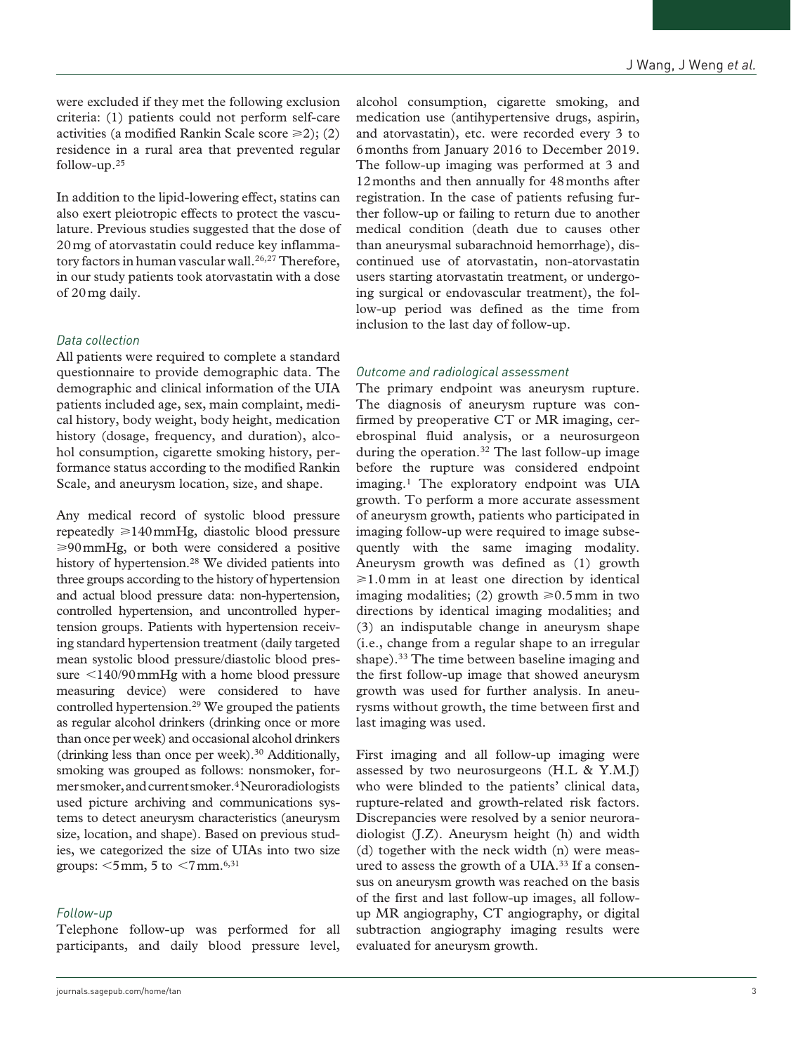were excluded if they met the following exclusion criteria: (1) patients could not perform self-care activities (a modified Rankin Scale score  $\geq$ 2); (2) residence in a rural area that prevented regular follow-up.25

In addition to the lipid-lowering effect, statins can also exert pleiotropic effects to protect the vasculature. Previous studies suggested that the dose of 20mg of atorvastatin could reduce key inflammatory factors in human vascular wall.<sup>26,27</sup> Therefore, in our study patients took atorvastatin with a dose of 20mg daily.

## *Data collection*

All patients were required to complete a standard questionnaire to provide demographic data. The demographic and clinical information of the UIA patients included age, sex, main complaint, medical history, body weight, body height, medication history (dosage, frequency, and duration), alcohol consumption, cigarette smoking history, performance status according to the modified Rankin Scale, and aneurysm location, size, and shape.

Any medical record of systolic blood pressure repeatedly  $\geq 140$  mmHg, diastolic blood pressure  $\geq 90$  mmHg, or both were considered a positive history of hypertension.<sup>28</sup> We divided patients into three groups according to the history of hypertension and actual blood pressure data: non-hypertension, controlled hypertension, and uncontrolled hypertension groups. Patients with hypertension receiving standard hypertension treatment (daily targeted mean systolic blood pressure/diastolic blood pressure <140/90mmHg with a home blood pressure measuring device) were considered to have controlled hypertension.29 We grouped the patients as regular alcohol drinkers (drinking once or more than once per week) and occasional alcohol drinkers (drinking less than once per week). $30$  Additionally, smoking was grouped as follows: nonsmoker, former smoker, and current smoker.4 Neuroradiologists used picture archiving and communications systems to detect aneurysm characteristics (aneurysm size, location, and shape). Based on previous studies, we categorized the size of UIAs into two size groups:  $\leq 5$  mm, 5 to  $\leq 7$  mm.<sup>6,31</sup>

#### *Follow-up*

Telephone follow-up was performed for all participants, and daily blood pressure level, alcohol consumption, cigarette smoking, and medication use (antihypertensive drugs, aspirin, and atorvastatin), etc. were recorded every 3 to 6months from January 2016 to December 2019. The follow-up imaging was performed at 3 and 12months and then annually for 48months after registration. In the case of patients refusing further follow-up or failing to return due to another medical condition (death due to causes other than aneurysmal subarachnoid hemorrhage), discontinued use of atorvastatin, non-atorvastatin users starting atorvastatin treatment, or undergoing surgical or endovascular treatment), the follow-up period was defined as the time from inclusion to the last day of follow-up.

## *Outcome and radiological assessment*

The primary endpoint was aneurysm rupture. The diagnosis of aneurysm rupture was confirmed by preoperative CT or MR imaging, cerebrospinal fluid analysis, or a neurosurgeon during the operation.32 The last follow-up image before the rupture was considered endpoint imaging.1 The exploratory endpoint was UIA growth. To perform a more accurate assessment of aneurysm growth, patients who participated in imaging follow-up were required to image subsequently with the same imaging modality. Aneurysm growth was defined as (1) growth  $\geq 1.0$  mm in at least one direction by identical imaging modalities; (2) growth  $\geq 0.5$  mm in two directions by identical imaging modalities; and (3) an indisputable change in aneurysm shape (i.e., change from a regular shape to an irregular shape).33 The time between baseline imaging and the first follow-up image that showed aneurysm growth was used for further analysis. In aneurysms without growth, the time between first and last imaging was used.

First imaging and all follow-up imaging were assessed by two neurosurgeons (H.L & Y.M.J) who were blinded to the patients' clinical data, rupture-related and growth-related risk factors. Discrepancies were resolved by a senior neuroradiologist (J.Z). Aneurysm height (h) and width (d) together with the neck width (n) were measured to assess the growth of a UIA.<sup>33</sup> If a consensus on aneurysm growth was reached on the basis of the first and last follow-up images, all followup MR angiography, CT angiography, or digital subtraction angiography imaging results were evaluated for aneurysm growth.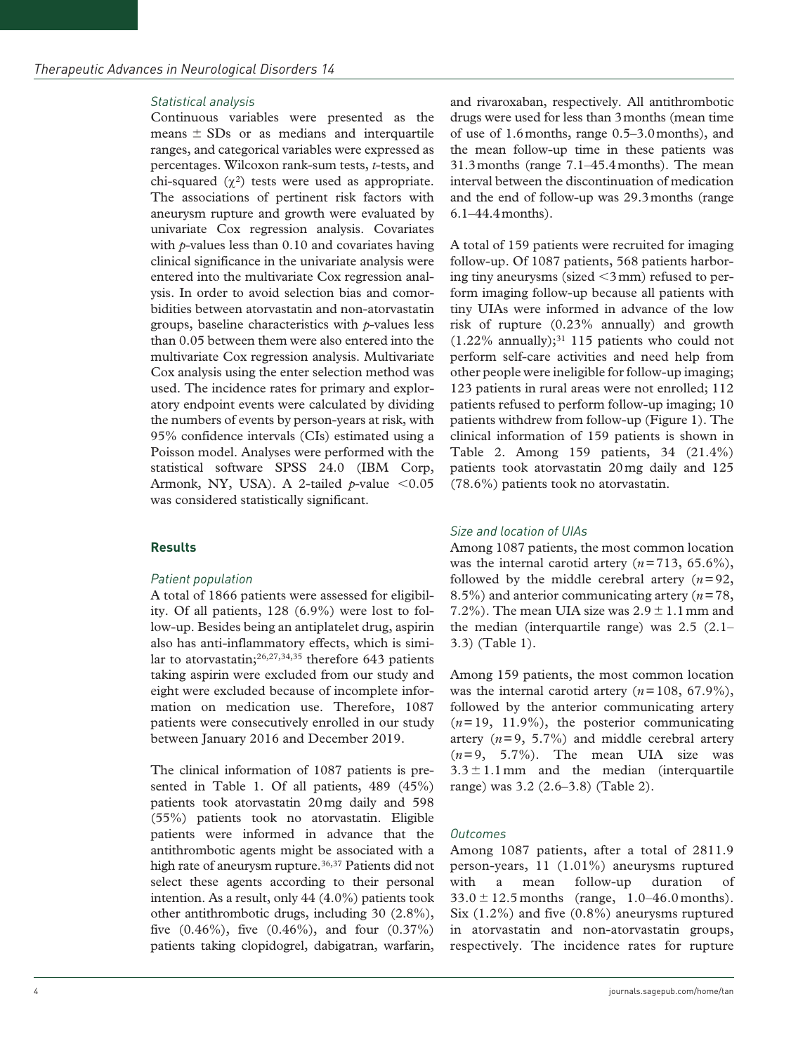#### *Statistical analysis*

Continuous variables were presented as the means  $\pm$  SDs or as medians and interquartile ranges, and categorical variables were expressed as percentages. Wilcoxon rank-sum tests, *t*-tests, and chi-squared  $(χ<sup>2</sup>)$  tests were used as appropriate. The associations of pertinent risk factors with aneurysm rupture and growth were evaluated by univariate Cox regression analysis. Covariates with *p*-values less than 0.10 and covariates having clinical significance in the univariate analysis were entered into the multivariate Cox regression analysis. In order to avoid selection bias and comorbidities between atorvastatin and non-atorvastatin groups, baseline characteristics with *p*-values less than 0.05 between them were also entered into the multivariate Cox regression analysis. Multivariate Cox analysis using the enter selection method was used. The incidence rates for primary and exploratory endpoint events were calculated by dividing the numbers of events by person-years at risk, with 95% confidence intervals (CIs) estimated using a Poisson model. Analyses were performed with the statistical software SPSS 24.0 (IBM Corp, Armonk, NY, USA). A 2-tailed  $p$ -value <0.05 was considered statistically significant.

#### **Results**

#### *Patient population*

A total of 1866 patients were assessed for eligibility. Of all patients, 128 (6.9%) were lost to follow-up. Besides being an antiplatelet drug, aspirin also has anti-inflammatory effects, which is similar to atorvastatin;26,27,34,35 therefore 643 patients taking aspirin were excluded from our study and eight were excluded because of incomplete information on medication use. Therefore, 1087 patients were consecutively enrolled in our study between January 2016 and December 2019.

The clinical information of 1087 patients is presented in Table 1. Of all patients, 489 (45%) patients took atorvastatin 20mg daily and 598 (55%) patients took no atorvastatin. Eligible patients were informed in advance that the antithrombotic agents might be associated with a high rate of aneurysm rupture.<sup>36,37</sup> Patients did not select these agents according to their personal intention. As a result, only 44 (4.0%) patients took other antithrombotic drugs, including 30 (2.8%), five  $(0.46\%)$ , five  $(0.46\%)$ , and four  $(0.37\%)$ patients taking clopidogrel, dabigatran, warfarin, and rivaroxaban, respectively. All antithrombotic drugs were used for less than 3months (mean time of use of 1.6months, range 0.5–3.0months), and the mean follow-up time in these patients was 31.3months (range 7.1–45.4months). The mean interval between the discontinuation of medication and the end of follow-up was 29.3months (range 6.1–44.4months).

A total of 159 patients were recruited for imaging follow-up. Of 1087 patients, 568 patients harboring tiny aneurysms (sized  $\leq$ 3 mm) refused to perform imaging follow-up because all patients with tiny UIAs were informed in advance of the low risk of rupture (0.23% annually) and growth  $(1.22\%$  annually);<sup>31</sup> 115 patients who could not perform self-care activities and need help from other people were ineligible for follow-up imaging; 123 patients in rural areas were not enrolled; 112 patients refused to perform follow-up imaging; 10 patients withdrew from follow-up (Figure 1). The clinical information of 159 patients is shown in Table 2. Among 159 patients, 34 (21.4%) patients took atorvastatin 20mg daily and 125 (78.6%) patients took no atorvastatin.

#### *Size and location of UIAs*

Among 1087 patients, the most common location was the internal carotid artery  $(n=713, 65.6\%),$ followed by the middle cerebral artery  $(n=92,$ 8.5%) and anterior communicating artery (*n*=78, 7.2%). The mean UIA size was  $2.9 \pm 1.1$  mm and the median (interquartile range) was 2.5 (2.1– 3.3) (Table 1).

Among 159 patients, the most common location was the internal carotid artery  $(n=108, 67.9\%)$ , followed by the anterior communicating artery  $(n=19, 11.9\%)$ , the posterior communicating artery  $(n=9, 5.7%)$  and middle cerebral artery  $(n=9, 5.7\%)$ . The mean UIA size was  $3.3 \pm 1.1$  mm and the median (interquartile range) was 3.2 (2.6–3.8) (Table 2).

#### *Outcomes*

Among 1087 patients, after a total of 2811.9 person-years, 11 (1.01%) aneurysms ruptured with a mean follow-up duration of  $33.0 \pm 12.5$  months (range, 1.0–46.0 months). Six (1.2%) and five (0.8%) aneurysms ruptured in atorvastatin and non-atorvastatin groups, respectively. The incidence rates for rupture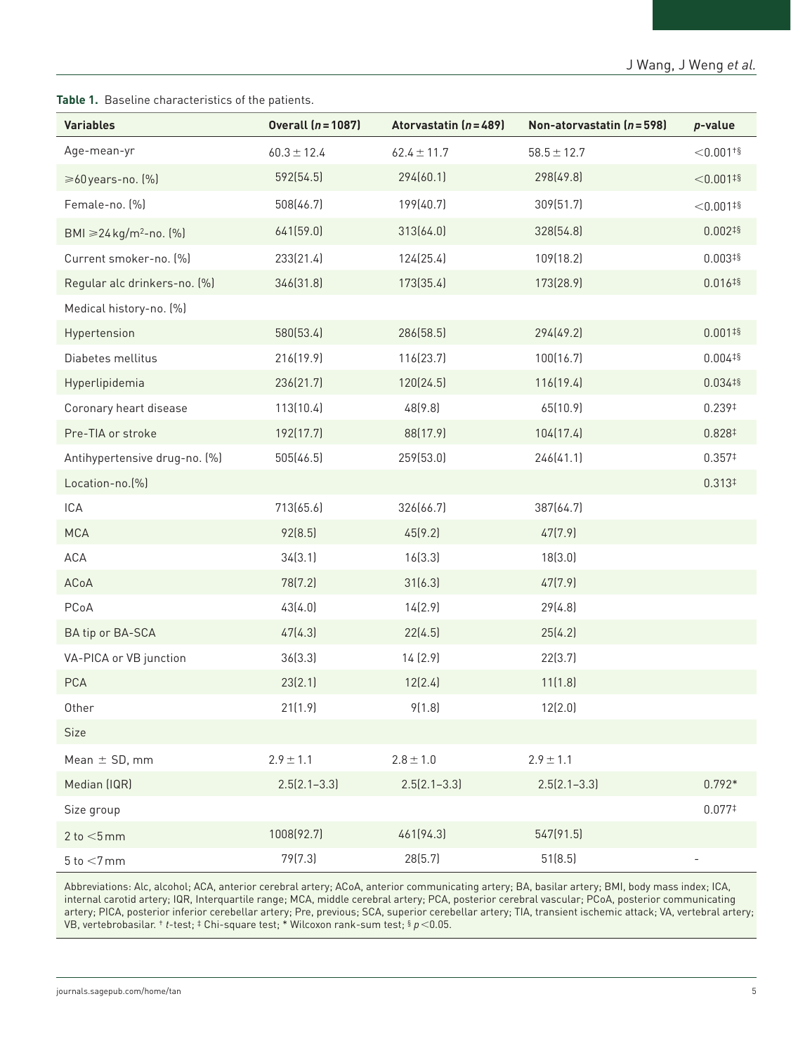**Table 1.** Baseline characteristics of the patients.

| <b>Variables</b>                     | <b>Overall (n = 1087)</b> | Atorvastatin $(n=489)$ | Non-atorvastatin $(n = 598)$ | p-value                 |
|--------------------------------------|---------------------------|------------------------|------------------------------|-------------------------|
| Age-mean-yr                          | $60.3 \pm 12.4$           | $62.4 \pm 11.7$        | $58.5 \pm 12.7$              | $<$ 0.001 <sup>+§</sup> |
| ≥60 years-no. (%)                    | 592(54.5)                 | 294(60.1)              | 298(49.8)                    | $< 0.001$ #§            |
| Female-no. (%)                       | 508(46.7)                 | 199(40.7)              | 309(51.7)                    | $< 0.001$ #§            |
| BMI ≥24 kg/m <sup>2</sup> -no. $[%]$ | 641(59.0)                 | 313(64.0)              | 328(54.8)                    | $0.002^{18}$            |
| Current smoker-no. [%]               | 233(21.4)                 | 124(25.4)              | 109(18.2)                    | $0.003^{18}$            |
| Regular alc drinkers-no. [%]         | 346(31.8)                 | 173(35.4)              | 173(28.9)                    | $0.016^{16}$            |
| Medical history-no. [%]              |                           |                        |                              |                         |
| Hypertension                         | 580(53.4)                 | 286(58.5)              | 294(49.2)                    | $0.001^{15}$            |
| Diabetes mellitus                    | 216(19.9)                 | 116(23.7)              | 100(16.7)                    | $0.004^{18}$            |
| Hyperlipidemia                       | 236(21.7)                 | 120(24.5)              | 116(19.4)                    | $0.034^{18}$            |
| Coronary heart disease               | 113(10.4)                 | 48(9.8)                | 65(10.9)                     | 0.239#                  |
| Pre-TIA or stroke                    | 192(17.7)                 | 88(17.9)               | 104(17.4)                    | 0.828‡                  |
| Antihypertensive drug-no. [%]        | 505(46.5)                 | 259(53.0)              | 246(41.1)                    | 0.357#                  |
| Location-no. [%]                     |                           |                        |                              | $0.313*$                |
| ICA                                  | 713(65.6)                 | 326(66.7)              | 387(64.7)                    |                         |
| <b>MCA</b>                           | 92(8.5)                   | 45(9.2)                | 47(7.9)                      |                         |
| ACA                                  | 34(3.1)                   | 16(3.3)                | 18(3.0)                      |                         |
| ACoA                                 | 78(7.2)                   | 31(6.3)                | 47(7.9)                      |                         |
| PCoA                                 | 43(4.0)                   | 14(2.9)                | 29(4.8)                      |                         |
| BA tip or BA-SCA                     | 47(4.3)                   | 22(4.5)                | 25(4.2)                      |                         |
| VA-PICA or VB junction               | 36[3.3]                   | 14(2.9)                | 22(3.7)                      |                         |
| PCA                                  | 23(2.1)                   | 12(2.4)                | 11(1.8)                      |                         |
| Other                                | 21(1.9)                   | 9(1.8)                 | 12(2.0)                      |                         |
| Size                                 |                           |                        |                              |                         |
| Mean $\pm$ SD, mm                    | $2.9 \pm 1.1$             | $2.8\pm1.0$            | $2.9 \pm 1.1$                |                         |
| Median (IQR)                         | $2.5(2.1 - 3.3)$          | $2.5(2.1 - 3.3)$       | $2.5(2.1 - 3.3)$             | $0.792*$                |
| Size group                           |                           |                        |                              | 0.0771                  |
| $2$ to $<$ 5 mm                      | 1008(92.7)                | 461(94.3)              | 547(91.5)                    |                         |
| $5$ to $<$ 7 mm                      | 79(7.3)                   | 28(5.7)                | 51(8.5)                      |                         |

Abbreviations: Alc, alcohol; ACA, anterior cerebral artery; ACoA, anterior communicating artery; BA, basilar artery; BMI, body mass index; ICA, internal carotid artery; IQR, Interquartile range; MCA, middle cerebral artery; PCA, posterior cerebral vascular; PCoA, posterior communicating artery; PICA, posterior inferior cerebellar artery; Pre, previous; SCA, superior cerebellar artery; TIA, transient ischemic attack; VA, vertebral artery; VB, vertebrobasilar. † *t*-test; ‡ Chi-square test; \* Wilcoxon rank-sum test; § *p*<0.05.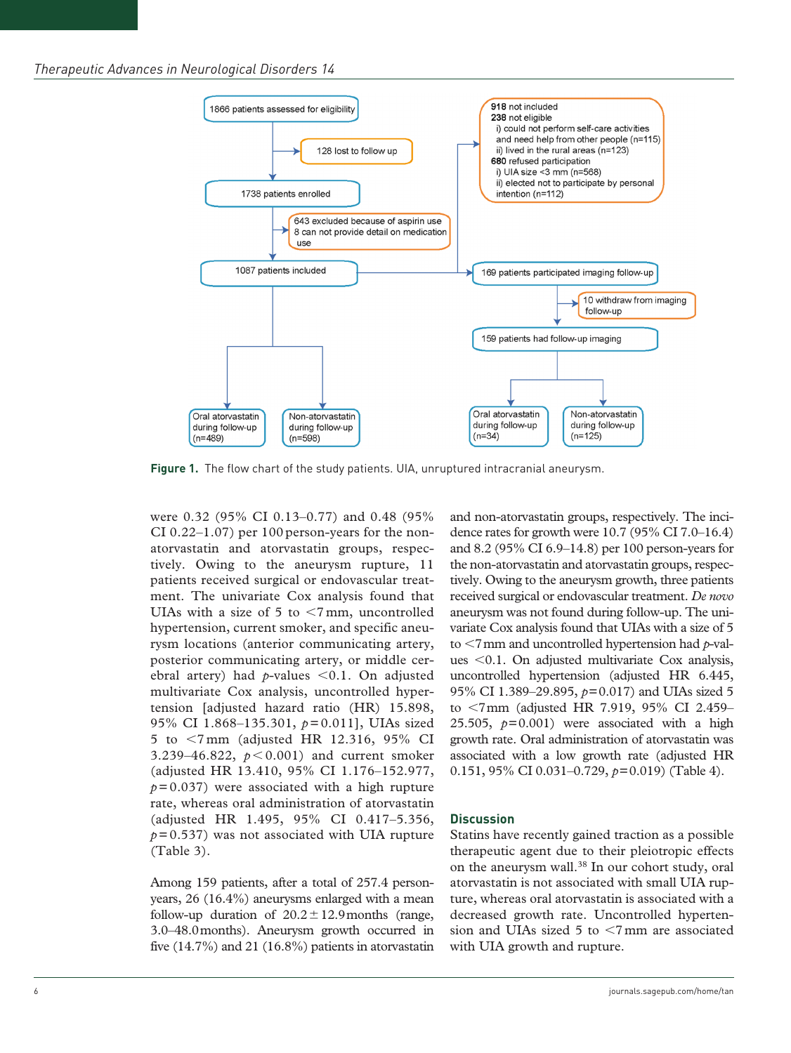

**Figure 1.** The flow chart of the study patients. UIA, unruptured intracranial aneurysm.

were 0.32 (95% CI 0.13–0.77) and 0.48 (95% CI 0.22–1.07) per 100 person-years for the nonatorvastatin and atorvastatin groups, respectively. Owing to the aneurysm rupture, 11 patients received surgical or endovascular treatment. The univariate Cox analysis found that UIAs with a size of 5 to  $\leq$ 7 mm, uncontrolled hypertension, current smoker, and specific aneurysm locations (anterior communicating artery, posterior communicating artery, or middle cerebral artery) had *p*-values <0.1. On adjusted multivariate Cox analysis, uncontrolled hypertension [adjusted hazard ratio (HR) 15.898, 95% CI 1.868–135.301, *p*=0.011], UIAs sized 5 to <7 mm (adjusted HR 12.316, 95% CI 3.239–46.822,  $p < 0.001$ ) and current smoker (adjusted HR 13.410, 95% CI 1.176–152.977,  $p=0.037$ ) were associated with a high rupture rate, whereas oral administration of atorvastatin (adjusted HR 1.495, 95% CI 0.417–5.356, *p*=0.537) was not associated with UIA rupture (Table 3).

Among 159 patients, after a total of 257.4 personyears, 26 (16.4%) aneurysms enlarged with a mean follow-up duration of  $20.2 \pm 12.9$  months (range, 3.0–48.0months). Aneurysm growth occurred in five (14.7%) and 21 (16.8%) patients in atorvastatin and non-atorvastatin groups, respectively. The incidence rates for growth were 10.7 (95% CI 7.0–16.4) and 8.2 (95% CI 6.9–14.8) per 100 person-years for the non-atorvastatin and atorvastatin groups, respectively. Owing to the aneurysm growth, three patients received surgical or endovascular treatment. *De novo* aneurysm was not found during follow-up. The univariate Cox analysis found that UIAs with a size of 5 to <7mm and uncontrolled hypertension had *p*-values <0.1. On adjusted multivariate Cox analysis, uncontrolled hypertension (adjusted HR 6.445, 95% CI 1.389–29.895, *p*=0.017) and UIAs sized 5 to <7mm (adjusted HR 7.919, 95% CI 2.459– 25.505,  $p=0.001$ ) were associated with a high growth rate. Oral administration of atorvastatin was associated with a low growth rate (adjusted HR 0.151, 95% CI 0.031–0.729, *p*=0.019) (Table 4).

#### **Discussion**

Statins have recently gained traction as a possible therapeutic agent due to their pleiotropic effects on the aneurysm wall.38 In our cohort study, oral atorvastatin is not associated with small UIA rupture, whereas oral atorvastatin is associated with a decreased growth rate. Uncontrolled hypertension and UIAs sized 5 to <7mm are associated with UIA growth and rupture.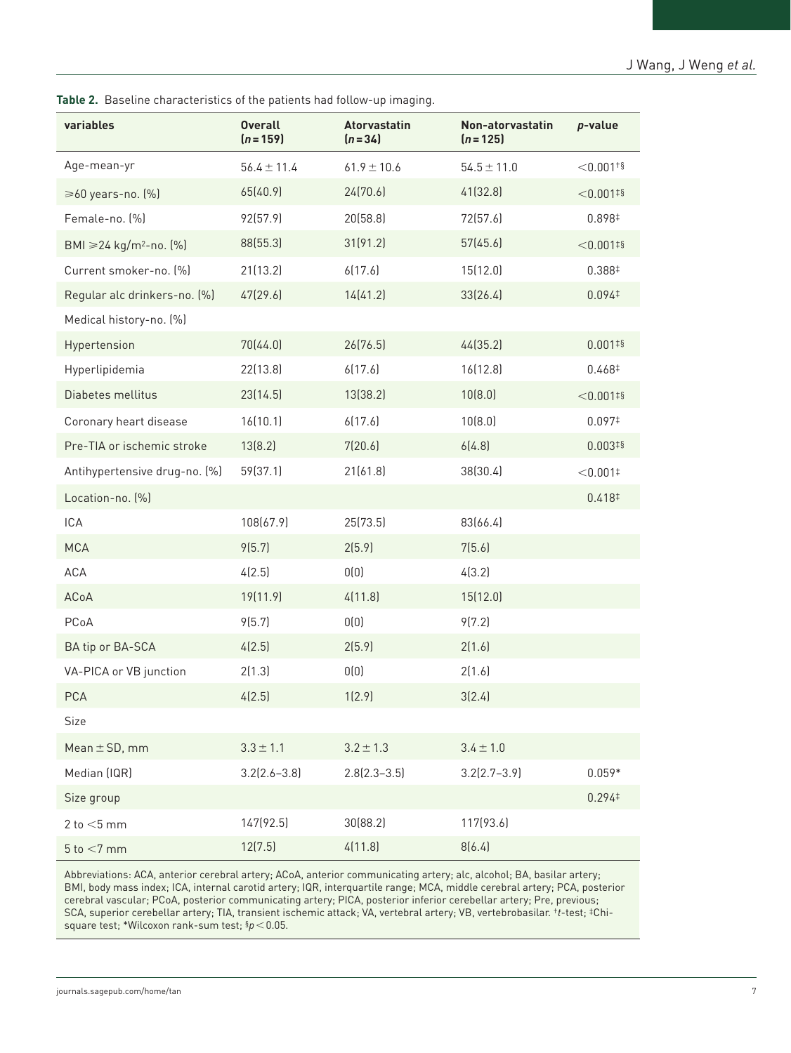| variables                          | <b>Overall</b><br>$(n = 159)$ | <b>Atorvastatin</b><br>$(n=34)$ | Non-atorvastatin | p-value                 |
|------------------------------------|-------------------------------|---------------------------------|------------------|-------------------------|
|                                    |                               |                                 | $(n = 125)$      |                         |
| Age-mean-yr                        | $56.4 \pm 11.4$               | $61.9 \pm 10.6$                 | $54.5 \pm 11.0$  | $<$ 0.001 <sup>+§</sup> |
| $\geq 60$ years-no. $[\%]$         | 65(40.9)                      | 24(70.6)                        | 41(32.8)         | $<$ 0.001#§             |
| Female-no. (%)                     | 92(57.9)                      | 20(58.8)                        | 72(57.6)         | 0.898‡                  |
| BMI ≥24 kg/m <sup>2</sup> -no. [%] | 88(55.3)                      | 31(91.2)                        | 57(45.6)         | $<$ 0.001#§             |
| Current smoker-no. [%]             | 21(13.2)                      | 6(17.6)                         | 15(12.0)         | 0.388 <sup>‡</sup>      |
| Regular alc drinkers-no. [%]       | 47(29.6)                      | 14(41.2)                        | 33(26.4)         | 0.094 <sup>‡</sup>      |
| Medical history-no. (%)            |                               |                                 |                  |                         |
| Hypertension                       | 70(44.0)                      | 26(76.5)                        | 44(35.2)         | $0.001^{15}$            |
| Hyperlipidemia                     | 22(13.8)                      | 6(17.6)                         | 16[12.8]         | 0.468#                  |
| Diabetes mellitus                  | 23(14.5)                      | 13(38.2)                        | 10(8.0)          | $<$ 0.001#§             |
| Coronary heart disease             | 16(10.1)                      | 6(17.6)                         | 10(8.0)          | 0.097 <sup>‡</sup>      |
| Pre-TIA or ischemic stroke         | 13(8.2)                       | 7(20.6)                         | 6(4.8)           | $0.003^{18}$            |
| Antihypertensive drug-no. [%]      | 59(37.1)                      | 21(61.8)                        | 38(30.4)         | $< 0.001$ <sup>#</sup>  |
| Location-no. [%]                   |                               |                                 |                  | 0.418 <sup>‡</sup>      |
| ICA                                | 108(67.9)                     | 25(73.5)                        | 83(66.4)         |                         |
| <b>MCA</b>                         | 9(5.7)                        | 2(5.9)                          | 7(5.6)           |                         |
| ACA                                | 4(2.5)                        | 0(0)                            | 4(3.2)           |                         |
| ACoA                               | 19(11.9)                      | 4(11.8)                         | 15(12.0)         |                         |
| PCoA                               | 9(5.7)                        | 0(0)                            | 9(7.2)           |                         |
| BA tip or BA-SCA                   | 4(2.5)                        | 2(5.9)                          | 2(1.6)           |                         |
| VA-PICA or VB junction             | 2(1.3)                        | 0(0)                            | 2(1.6)           |                         |
| <b>PCA</b>                         | 4(2.5)                        | 1(2.9)                          | 3(2.4)           |                         |
| Size                               |                               |                                 |                  |                         |
| Mean $\pm$ SD, mm                  | $3.3 \pm 1.1$                 | $3.2 \pm 1.3$                   | $3.4 \pm 1.0$    |                         |
| Median (IQR)                       | $3.2[2.6 - 3.8]$              | $2.8(2.3 - 3.5)$                | $3.2(2.7 - 3.9)$ | $0.059*$                |
| Size group                         |                               |                                 |                  | $0.294*$                |
| 2 to $<$ 5 mm                      | 147(92.5)                     | 30(88.2)                        | 117(93.6)        |                         |
| $5$ to $<$ 7 mm                    | 12(7.5)                       | 4(11.8)                         | 8(6.4)           |                         |

**Table 2.** Baseline characteristics of the patients had follow-up imaging.

Abbreviations: ACA, anterior cerebral artery; ACoA, anterior communicating artery; alc, alcohol; BA, basilar artery; BMI, body mass index; ICA, internal carotid artery; IQR, interquartile range; MCA, middle cerebral artery; PCA, posterior cerebral vascular; PCoA, posterior communicating artery; PICA, posterior inferior cerebellar artery; Pre, previous; SCA, superior cerebellar artery; TIA, transient ischemic attack; VA, vertebral artery; VB, vertebrobasilar. †*t*-test; ‡Chisquare test; \*Wilcoxon rank-sum test; §*p*<0.05.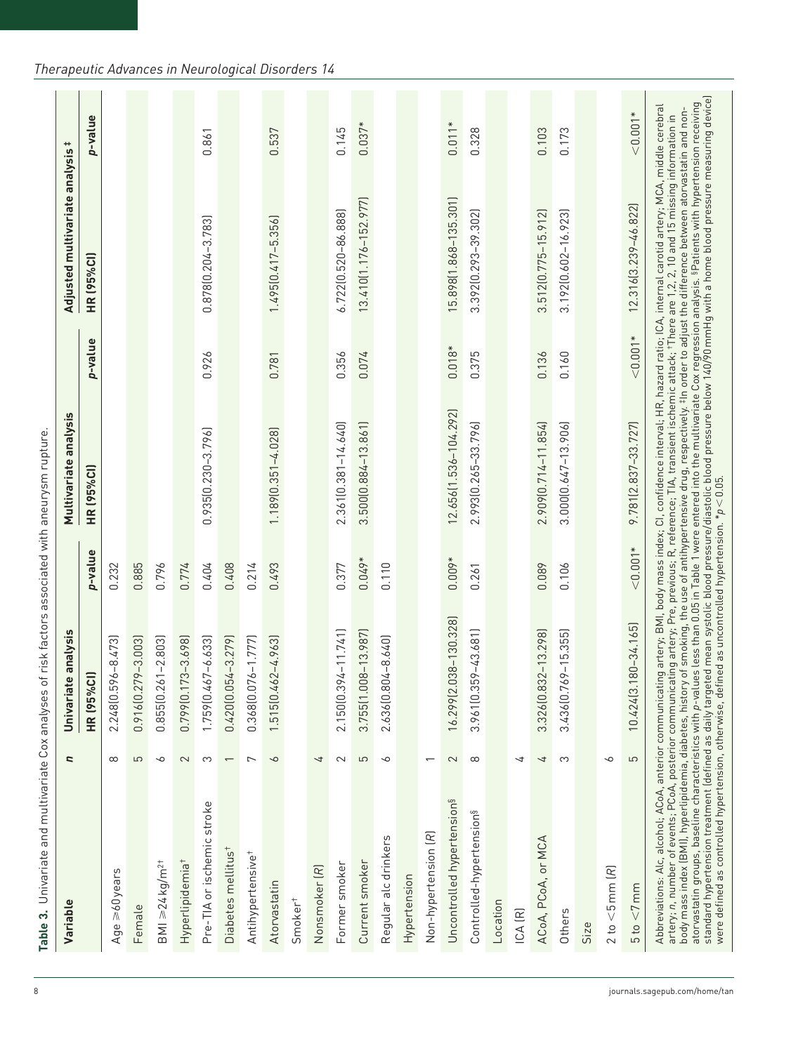| Age $\geq 60$ years                    |                          | <b>HR (95%Cl)</b>        |            |                          | p-value    | HR (95%Cl)              | p-value    |
|----------------------------------------|--------------------------|--------------------------|------------|--------------------------|------------|-------------------------|------------|
|                                        |                          |                          | p-value    | <b>HR (95%Cl)</b>        |            |                         |            |
|                                        | $\infty$                 | 2.248 [0.596-8.473]      | 0.232      |                          |            |                         |            |
| Female                                 | 5                        | $0.916(0.279 - 3.003)$   | 0.885      |                          |            |                         |            |
| $BM \geq 24 kg/m^{2+}$                 | ╰                        | $0.855(0.261 - 2.803)$   | 0.796      |                          |            |                         |            |
| Hyperlipidemia <sup>+</sup>            | $\mathbf 2$              | 0.799 (0.173-3.698)      | 0.774      |                          |            |                         |            |
| Pre-TIA or ischemic stroke             | က                        | 1.759 [0.467-6.633]      | 0.404      | $0.935[0.230 - 3.796]$   | 0.926      | 0.878(0.204-3.783)      | 0.861      |
| Diabetes mellitus <sup>+</sup>         | $\overline{\phantom{0}}$ | $0.420[0.054 - 3.279]$   | 0.408      |                          |            |                         |            |
| Antihypertensive <sup>+</sup>          | $\overline{ }$           | 0.368(0.076-1.777)       | 0.214      |                          |            |                         |            |
| Atorvastatin                           | $\sim$                   | 1.515(0.462-4.963)       | 0.493      | 1.189 [0.351-4.028]      | 0.781      | $1.495[0.417 - 5.356]$  | 0.537      |
| Smoker <sup>+</sup>                    |                          |                          |            |                          |            |                         |            |
| Nonsmoker (R)                          | 4                        |                          |            |                          |            |                         |            |
| Former smoker                          | $\sim$                   | 2.150 $(0.394 - 11.741)$ | 0.377      | 2.361 [0.381-14.640]     | 0.356      | 6.722(0.520-86.888)     | 0.145      |
| Current smoker                         | 5                        | 3.755(1.008-13.987)      | $0.049*$   | 3.500 $[0.884 - 13.861]$ | 0.074      | 13.410(1.176-152.977)   | $0.037*$   |
| Regular alc drinkers                   | $\sim$                   | 2.636 [0.804-8.640]      | 0.110      |                          |            |                         |            |
| Hypertension                           |                          |                          |            |                          |            |                         |            |
| Non-hypertension (R)                   |                          |                          |            |                          |            |                         |            |
| Uncontrolled hypertension <sup>§</sup> | $\sim$                   | 16.299(2.038-130.328)    | $0.009*$   | 12.656(1.536-104.292)    | $0.018*$   | 15.898 [1.868-135.301]  | $0.011*$   |
| Controlled-hypertension <sup>§</sup>   | $\infty$                 | 3.961 [0.359-43.681]     | 0.261      | 2.993(0.265-33.796)      | 0.375      | 3.392 [0.293-39.302]    | 0.328      |
| Location                               |                          |                          |            |                          |            |                         |            |
| ICA (R)                                | ₹                        |                          |            |                          |            |                         |            |
| ACoA, PCoA, or MCA                     | 4                        | 3.326(0.832-13.298)      | 0.089      | 2.909 [0.714-11.854]     | 0.136      | 3.512(0.775-15.912)     | 0.103      |
| Others                                 | S                        | 3.436 (0.769 - 15.355)   | 0.106      | 3.000(0.647-13.906)      | 0.160      | 3.192 (0.602 - 16.923)  | 0.173      |
| Size                                   |                          |                          |            |                          |            |                         |            |
| $2 to < 5$ mm $(R)$                    | 9                        |                          |            |                          |            |                         |            |
| 5 to < 7 mm                            | 5                        | 10.424 [3.180 - 34.165]  | $< 0.001*$ | 9.781 (2.837 - 33.727)   | $< 0.001*$ | 12.316 (3.239 - 46.822) | $< 0.001*$ |

# *Therapeutic Advances in Neurological Disorders 14*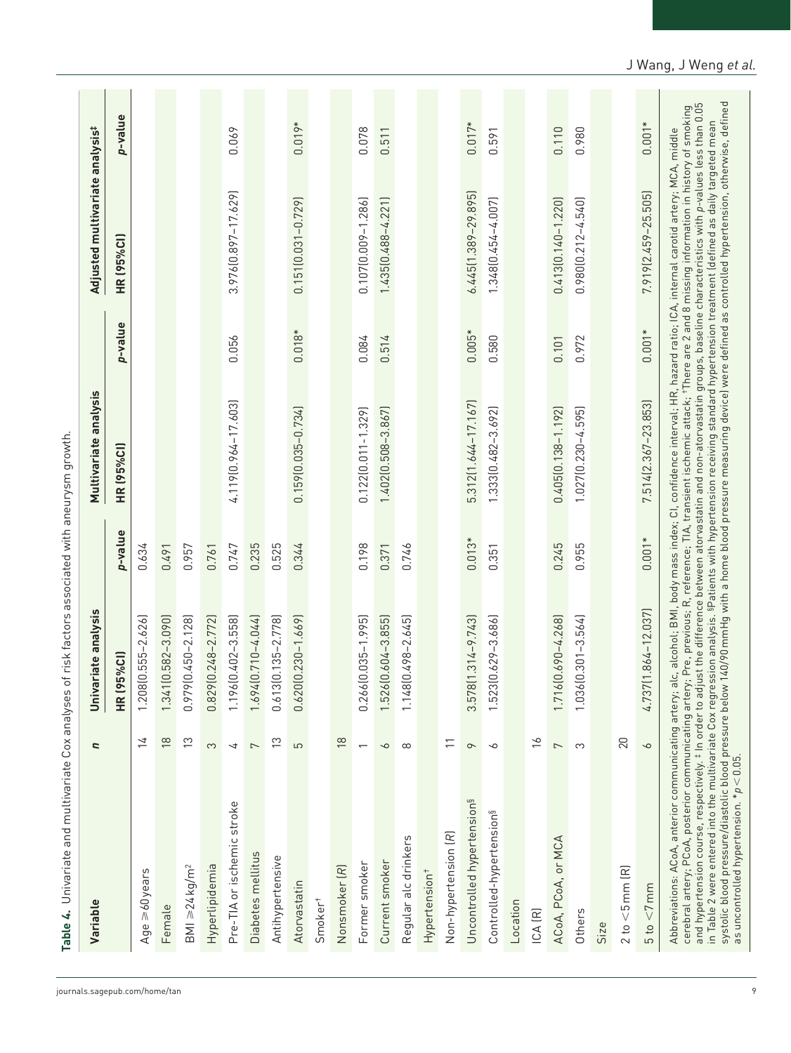| Variable                                                                                                                                                                                                                                                                                                                                                                                                                                                                                                                                                                                                                                                                                                                                                                                                                                       | ς                        | Univariate analysis            |          | Multivariate analysis   |          | Adjusted multivariate analysis#                                                                                                  |          |
|------------------------------------------------------------------------------------------------------------------------------------------------------------------------------------------------------------------------------------------------------------------------------------------------------------------------------------------------------------------------------------------------------------------------------------------------------------------------------------------------------------------------------------------------------------------------------------------------------------------------------------------------------------------------------------------------------------------------------------------------------------------------------------------------------------------------------------------------|--------------------------|--------------------------------|----------|-------------------------|----------|----------------------------------------------------------------------------------------------------------------------------------|----------|
|                                                                                                                                                                                                                                                                                                                                                                                                                                                                                                                                                                                                                                                                                                                                                                                                                                                |                          | $\frac{1}{2}$<br><b>HR (95</b> | p-value  | <b>HR (95%CI)</b>       | p-value  | <b>HR (95%CI)</b>                                                                                                                | p-value  |
| Age $\geq 60$ years                                                                                                                                                                                                                                                                                                                                                                                                                                                                                                                                                                                                                                                                                                                                                                                                                            | $\geq$                   | $1.208(0.555 - 2.626)$         | 0.634    |                         |          |                                                                                                                                  |          |
| Female                                                                                                                                                                                                                                                                                                                                                                                                                                                                                                                                                                                                                                                                                                                                                                                                                                         | $\frac{8}{1}$            | 1.341 [0.582-3.090]            | 0.491    |                         |          |                                                                                                                                  |          |
| $BM \geq 24kg/m2$                                                                                                                                                                                                                                                                                                                                                                                                                                                                                                                                                                                                                                                                                                                                                                                                                              | $\tilde{c}$              | $0.979(0.450 - 2.128)$         | 0.957    |                         |          |                                                                                                                                  |          |
| Hyperlipidemia                                                                                                                                                                                                                                                                                                                                                                                                                                                                                                                                                                                                                                                                                                                                                                                                                                 | S                        | 0.829 (0.248 - 2.772)          | 0.761    |                         |          |                                                                                                                                  |          |
| Pre-TIA or ischemic stroke                                                                                                                                                                                                                                                                                                                                                                                                                                                                                                                                                                                                                                                                                                                                                                                                                     | 4                        | 1.196 (0.402 - 3.558)          | 0.747    | $4.119(0.964 - 17.603)$ | 0.056    | 3.976 [0.897-17.629]                                                                                                             | 0.069    |
| Diabetes mellitus                                                                                                                                                                                                                                                                                                                                                                                                                                                                                                                                                                                                                                                                                                                                                                                                                              | $\overline{\phantom{a}}$ | 1.694 [0.710-4.044]            | 0.235    |                         |          |                                                                                                                                  |          |
| Antihypertensive                                                                                                                                                                                                                                                                                                                                                                                                                                                                                                                                                                                                                                                                                                                                                                                                                               | $\tilde{c}$              | 0.613 (0.135-2.778)            | 0.525    |                         |          |                                                                                                                                  |          |
| Atorvastatin                                                                                                                                                                                                                                                                                                                                                                                                                                                                                                                                                                                                                                                                                                                                                                                                                                   | 5                        | $0.620[0.230 - 1.669]$         | 0.344    | $0.159(0.035 - 0.734)$  | $0.018*$ | $0.151(0.031 - 0.729)$                                                                                                           | $0.019*$ |
| Smoker <sup>+</sup>                                                                                                                                                                                                                                                                                                                                                                                                                                                                                                                                                                                                                                                                                                                                                                                                                            |                          |                                |          |                         |          |                                                                                                                                  |          |
| Nonsmoker (R)                                                                                                                                                                                                                                                                                                                                                                                                                                                                                                                                                                                                                                                                                                                                                                                                                                  | $\frac{8}{18}$           |                                |          |                         |          |                                                                                                                                  |          |
| Former smoker                                                                                                                                                                                                                                                                                                                                                                                                                                                                                                                                                                                                                                                                                                                                                                                                                                  | $\overline{\phantom{0}}$ | $0.266[0.035 - 1.995]$         | 0.198    | $0.122[0.011 - 1.329]$  | 0.084    | $0.107[0.009 - 1.286]$                                                                                                           | 0.078    |
| Current smoker                                                                                                                                                                                                                                                                                                                                                                                                                                                                                                                                                                                                                                                                                                                                                                                                                                 | 9                        | 1.526 [0.604-3.855]            | 0.371    | 1.402 (0.508 - 3.867)   | 0.514    | 1.435 (0.488-4.221)                                                                                                              | 0.511    |
| Regular alc drinkers                                                                                                                                                                                                                                                                                                                                                                                                                                                                                                                                                                                                                                                                                                                                                                                                                           | $\infty$                 | 1.148 $(0.498 - 2.645)$        | 0.746    |                         |          |                                                                                                                                  |          |
| Hypertension <sup>+</sup>                                                                                                                                                                                                                                                                                                                                                                                                                                                                                                                                                                                                                                                                                                                                                                                                                      |                          |                                |          |                         |          |                                                                                                                                  |          |
| Non-hypertension (R)                                                                                                                                                                                                                                                                                                                                                                                                                                                                                                                                                                                                                                                                                                                                                                                                                           | $\overline{1}$           |                                |          |                         |          |                                                                                                                                  |          |
| Uncontrolled hypertension <sup>§</sup>                                                                                                                                                                                                                                                                                                                                                                                                                                                                                                                                                                                                                                                                                                                                                                                                         | $\sim$                   | $1.314 - 9.743$<br>3.578(1     | $0.013*$ | 5.312(1.644-17.167)     | $0.005*$ | 6.445 (1.389 - 29.895)                                                                                                           | $0.017*$ |
| Controlled-hypertension <sup>§</sup>                                                                                                                                                                                                                                                                                                                                                                                                                                                                                                                                                                                                                                                                                                                                                                                                           | $\sim$                   | 1.523(0.629-3.686)             | 0.351    | 1.333(0.482-3.692)      | 0.580    | 1.348(0.454-4.007)                                                                                                               | 0.591    |
| Location                                                                                                                                                                                                                                                                                                                                                                                                                                                                                                                                                                                                                                                                                                                                                                                                                                       |                          |                                |          |                         |          |                                                                                                                                  |          |
| ICA (R)                                                                                                                                                                                                                                                                                                                                                                                                                                                                                                                                                                                                                                                                                                                                                                                                                                        | $\frac{8}{10}$           |                                |          |                         |          |                                                                                                                                  |          |
| ACoA, PCoA, or MCA                                                                                                                                                                                                                                                                                                                                                                                                                                                                                                                                                                                                                                                                                                                                                                                                                             | $\overline{ }$           | 1.716(0.690-4.268)             | 0.245    | $0.405[0.138 - 1.192]$  | 0.101    | $0.413(0.140 - 1.220)$                                                                                                           | 0.110    |
| Others                                                                                                                                                                                                                                                                                                                                                                                                                                                                                                                                                                                                                                                                                                                                                                                                                                         | S                        | $1.036(0.301 - 3.564)$         | 0.955    | 1.027 (0.230-4.595)     | 0.972    | $0.980[0.212 - 4.540]$                                                                                                           | 0.980    |
| Size                                                                                                                                                                                                                                                                                                                                                                                                                                                                                                                                                                                                                                                                                                                                                                                                                                           |                          |                                |          |                         |          |                                                                                                                                  |          |
| $2 to < 5$ mm $(R)$                                                                                                                                                                                                                                                                                                                                                                                                                                                                                                                                                                                                                                                                                                                                                                                                                            | 20                       |                                |          |                         |          |                                                                                                                                  |          |
| 5 to < 7 mm                                                                                                                                                                                                                                                                                                                                                                                                                                                                                                                                                                                                                                                                                                                                                                                                                                    | $\sim$                   | $1.864 - 12.037$<br>4.737[1    | $0.001*$ | 7.514(2.367-23.853)     | $0.001*$ | 7.919 (2.459 - 25.505)                                                                                                           | $0.001*$ |
| systolic blood pressure/diastolic blood pressure below 140/90 mmHg with a home blood pressure measuring device) were defined as controlled hypertension, otherwise, defined<br>as uncontrolled hypertension. *p < 0.05.<br>and hypertension course, respectively. ‡ In order to adjust the difference between atorvastatin and non-atorvastatin groups, baseline characteristics with p-values less than 0.05<br>cerebral artery; PCoA, posterior communicating artery; Pre, previous; R, reference; TIA, transient ischemic attack; †There are 2 and 8 missing information in history of smoking<br>Abbreviations: ACoA, anterior communicating artery; alc, alcohol; BMI, body mass index; Cl. confidence interval; HR, hazard ratio; ICA, internal carotid artery; MCA, middle<br>in Table 2 were entered into the multivariate Cox regress |                          |                                |          |                         |          | sion analysis. <sup>g</sup> Patients with hypertension receiving standard hypertension treatment (defined as daily targeted mean |          |

J Wang, J Weng *et al.*

9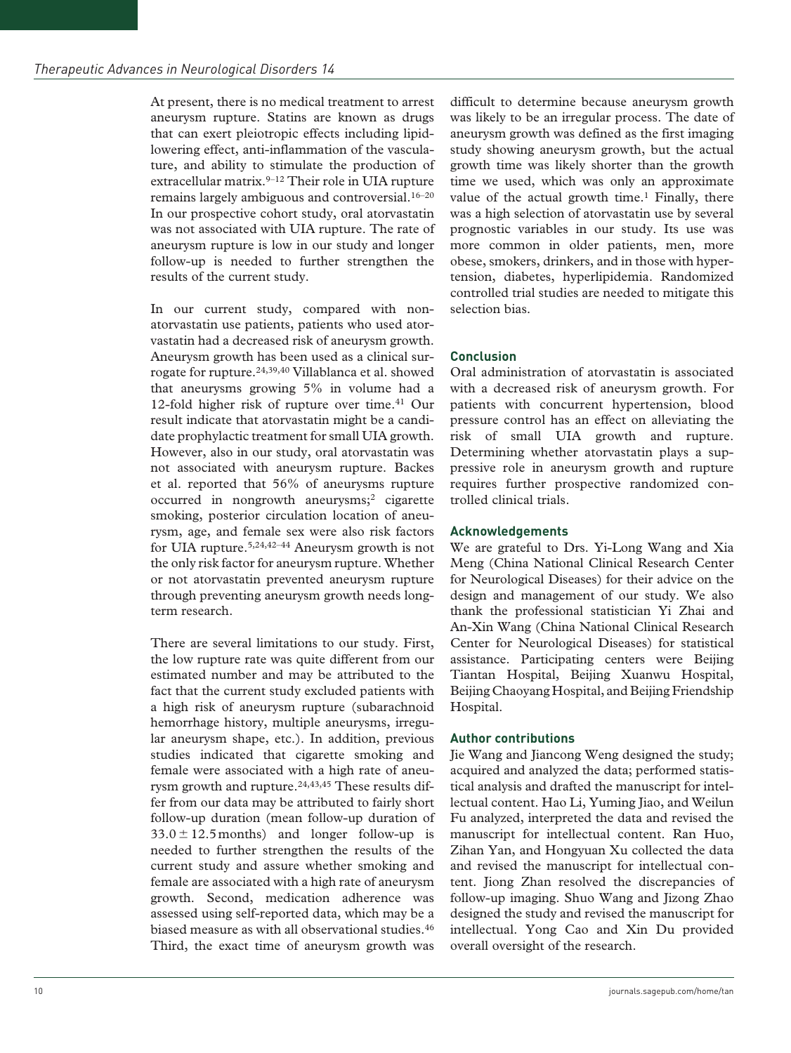At present, there is no medical treatment to arrest aneurysm rupture. Statins are known as drugs that can exert pleiotropic effects including lipidlowering effect, anti-inflammation of the vasculature, and ability to stimulate the production of extracellular matrix.<sup>9-12</sup> Their role in UIA rupture remains largely ambiguous and controversial.<sup>16-20</sup> In our prospective cohort study, oral atorvastatin was not associated with UIA rupture. The rate of aneurysm rupture is low in our study and longer follow-up is needed to further strengthen the results of the current study.

In our current study, compared with nonatorvastatin use patients, patients who used atorvastatin had a decreased risk of aneurysm growth. Aneurysm growth has been used as a clinical surrogate for rupture.24,39,40 Villablanca et al. showed that aneurysms growing 5% in volume had a 12-fold higher risk of rupture over time.<sup>41</sup> Our result indicate that atorvastatin might be a candidate prophylactic treatment for small UIA growth. However, also in our study, oral atorvastatin was not associated with aneurysm rupture. Backes et al. reported that 56% of aneurysms rupture occurred in nongrowth aneurysms;2 cigarette smoking, posterior circulation location of aneurysm, age, and female sex were also risk factors for UIA rupture.5,24,42–44 Aneurysm growth is not the only risk factor for aneurysm rupture. Whether or not atorvastatin prevented aneurysm rupture through preventing aneurysm growth needs longterm research.

There are several limitations to our study. First, the low rupture rate was quite different from our estimated number and may be attributed to the fact that the current study excluded patients with a high risk of aneurysm rupture (subarachnoid hemorrhage history, multiple aneurysms, irregular aneurysm shape, etc.). In addition, previous studies indicated that cigarette smoking and female were associated with a high rate of aneurysm growth and rupture.<sup>24,43,45</sup> These results differ from our data may be attributed to fairly short follow-up duration (mean follow-up duration of  $33.0 \pm 12.5$  months) and longer follow-up is needed to further strengthen the results of the current study and assure whether smoking and female are associated with a high rate of aneurysm growth. Second, medication adherence was assessed using self-reported data, which may be a biased measure as with all observational studies.<sup>46</sup> Third, the exact time of aneurysm growth was difficult to determine because aneurysm growth was likely to be an irregular process. The date of aneurysm growth was defined as the first imaging study showing aneurysm growth, but the actual growth time was likely shorter than the growth time we used, which was only an approximate value of the actual growth time.<sup>1</sup> Finally, there was a high selection of atorvastatin use by several prognostic variables in our study. Its use was more common in older patients, men, more obese, smokers, drinkers, and in those with hypertension, diabetes, hyperlipidemia. Randomized controlled trial studies are needed to mitigate this selection bias.

#### **Conclusion**

Oral administration of atorvastatin is associated with a decreased risk of aneurysm growth. For patients with concurrent hypertension, blood pressure control has an effect on alleviating the risk of small UIA growth and rupture. Determining whether atorvastatin plays a suppressive role in aneurysm growth and rupture requires further prospective randomized controlled clinical trials.

#### **Acknowledgements**

We are grateful to Drs. Yi-Long Wang and Xia Meng (China National Clinical Research Center for Neurological Diseases) for their advice on the design and management of our study. We also thank the professional statistician Yi Zhai and An-Xin Wang (China National Clinical Research Center for Neurological Diseases) for statistical assistance. Participating centers were Beijing Tiantan Hospital, Beijing Xuanwu Hospital, Beijing Chaoyang Hospital, and Beijing Friendship Hospital.

#### **Author contributions**

Jie Wang and Jiancong Weng designed the study; acquired and analyzed the data; performed statistical analysis and drafted the manuscript for intellectual content. Hao Li, Yuming Jiao, and Weilun Fu analyzed, interpreted the data and revised the manuscript for intellectual content. Ran Huo, Zihan Yan, and Hongyuan Xu collected the data and revised the manuscript for intellectual content. Jiong Zhan resolved the discrepancies of follow-up imaging. Shuo Wang and Jizong Zhao designed the study and revised the manuscript for intellectual. Yong Cao and Xin Du provided overall oversight of the research.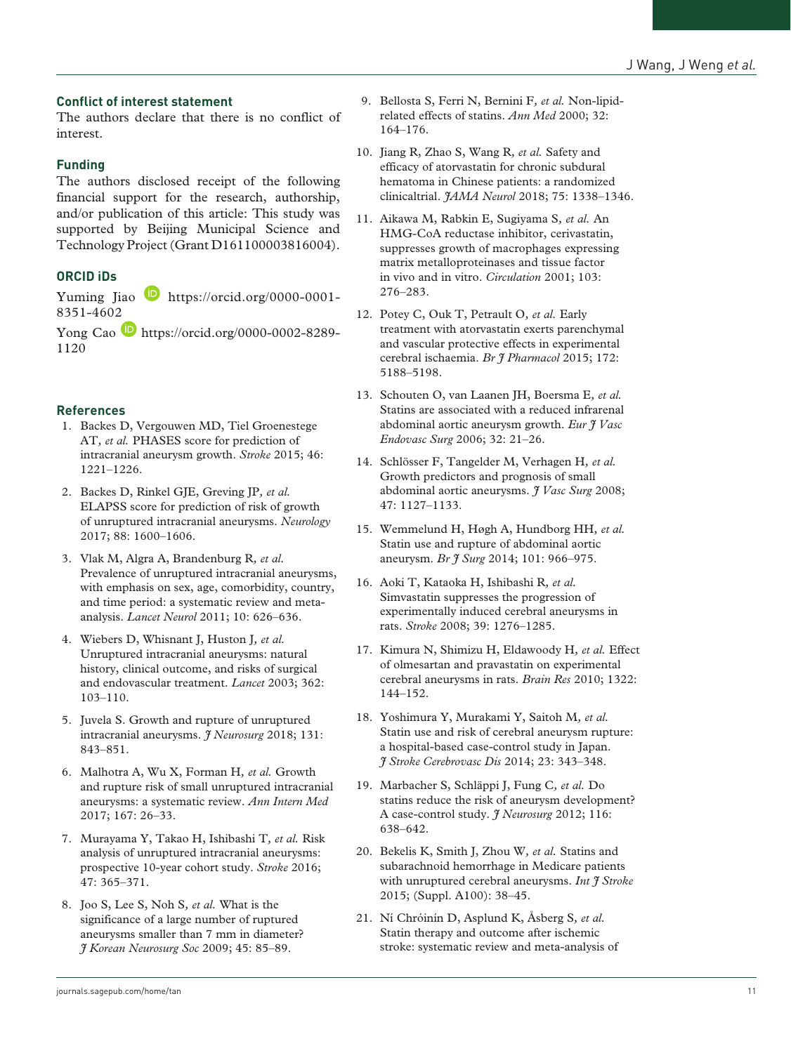## **Conflict of interest statement**

The authors declare that there is no conflict of interest.

## **Funding**

The authors disclosed receipt of the following financial support for the research, authorship, and/or publication of this article: This study was supported by Beijing Municipal Science and Technology Project (Grant D161100003816004).

# **ORCID iDs**

Yuming Jiao **[https://orcid.org/0000-0001-](https://orcid.org/0000-0001-8351-4602)** [8351-4602](https://orcid.org/0000-0001-8351-4602)

Yong Cao [https://orcid.org/0000-0002-8289-](https://orcid.org/0000-0002-8289-1120) [1120](https://orcid.org/0000-0002-8289-1120)

## **References**

- 1. Backes D, Vergouwen MD, Tiel Groenestege AT*, et al.* PHASES score for prediction of intracranial aneurysm growth. *Stroke* 2015; 46: 1221–1226.
- 2. Backes D, Rinkel GJE, Greving JP*, et al.* ELAPSS score for prediction of risk of growth of unruptured intracranial aneurysms. *Neurology* 2017; 88: 1600–1606.
- 3. Vlak M, Algra A, Brandenburg R*, et al.* Prevalence of unruptured intracranial aneurysms, with emphasis on sex, age, comorbidity, country, and time period: a systematic review and metaanalysis. *Lancet Neurol* 2011; 10: 626–636.
- 4. Wiebers D, Whisnant J, Huston J*, et al.* Unruptured intracranial aneurysms: natural history, clinical outcome, and risks of surgical and endovascular treatment. *Lancet* 2003; 362: 103–110.
- 5. Juvela S. Growth and rupture of unruptured intracranial aneurysms. *J Neurosurg* 2018; 131: 843–851.
- 6. Malhotra A, Wu X, Forman H*, et al.* Growth and rupture risk of small unruptured intracranial aneurysms: a systematic review. *Ann Intern Med* 2017; 167: 26–33.
- 7. Murayama Y, Takao H, Ishibashi T*, et al.* Risk analysis of unruptured intracranial aneurysms: prospective 10-year cohort study. *Stroke* 2016; 47: 365–371.
- 8. Joo S, Lee S, Noh S*, et al.* What is the significance of a large number of ruptured aneurysms smaller than 7 mm in diameter? *J Korean Neurosurg Soc* 2009; 45: 85–89.
- 9. Bellosta S, Ferri N, Bernini F*, et al.* Non-lipidrelated effects of statins. *Ann Med* 2000; 32: 164–176.
- 10. Jiang R, Zhao S, Wang R*, et al.* Safety and efficacy of atorvastatin for chronic subdural hematoma in Chinese patients: a randomized clinicaltrial. *JAMA Neurol* 2018; 75: 1338–1346.
- 11. Aikawa M, Rabkin E, Sugiyama S*, et al.* An HMG-CoA reductase inhibitor, cerivastatin, suppresses growth of macrophages expressing matrix metalloproteinases and tissue factor in vivo and in vitro. *Circulation* 2001; 103: 276–283.
- 12. Potey C, Ouk T, Petrault O*, et al.* Early treatment with atorvastatin exerts parenchymal and vascular protective effects in experimental cerebral ischaemia. *Br J Pharmacol* 2015; 172: 5188–5198.
- 13. Schouten O, van Laanen JH, Boersma E*, et al.* Statins are associated with a reduced infrarenal abdominal aortic aneurysm growth. *Eur J Vasc Endovasc Surg* 2006; 32: 21–26.
- 14. Schlösser F, Tangelder M, Verhagen H*, et al.* Growth predictors and prognosis of small abdominal aortic aneurysms. *J Vasc Surg* 2008; 47: 1127–1133.
- 15. Wemmelund H, Høgh A, Hundborg HH*, et al.* Statin use and rupture of abdominal aortic aneurysm. *Br J Surg* 2014; 101: 966–975.
- 16. Aoki T, Kataoka H, Ishibashi R*, et al.* Simvastatin suppresses the progression of experimentally induced cerebral aneurysms in rats. *Stroke* 2008; 39: 1276–1285.
- 17. Kimura N, Shimizu H, Eldawoody H*, et al.* Effect of olmesartan and pravastatin on experimental cerebral aneurysms in rats. *Brain Res* 2010; 1322: 144–152.
- 18. Yoshimura Y, Murakami Y, Saitoh M*, et al.* Statin use and risk of cerebral aneurysm rupture: a hospital-based case-control study in Japan. *J Stroke Cerebrovasc Dis* 2014; 23: 343–348.
- 19. Marbacher S, Schläppi J, Fung C*, et al.* Do statins reduce the risk of aneurysm development? A case-control study. *J Neurosurg* 2012; 116: 638–642.
- 20. Bekelis K, Smith J, Zhou W*, et al.* Statins and subarachnoid hemorrhage in Medicare patients with unruptured cerebral aneurysms. *Int J Stroke* 2015; (Suppl. A100): 38–45.
- 21. Ní Chróinín D, Asplund K, Åsberg S*, et al.* Statin therapy and outcome after ischemic stroke: systematic review and meta-analysis of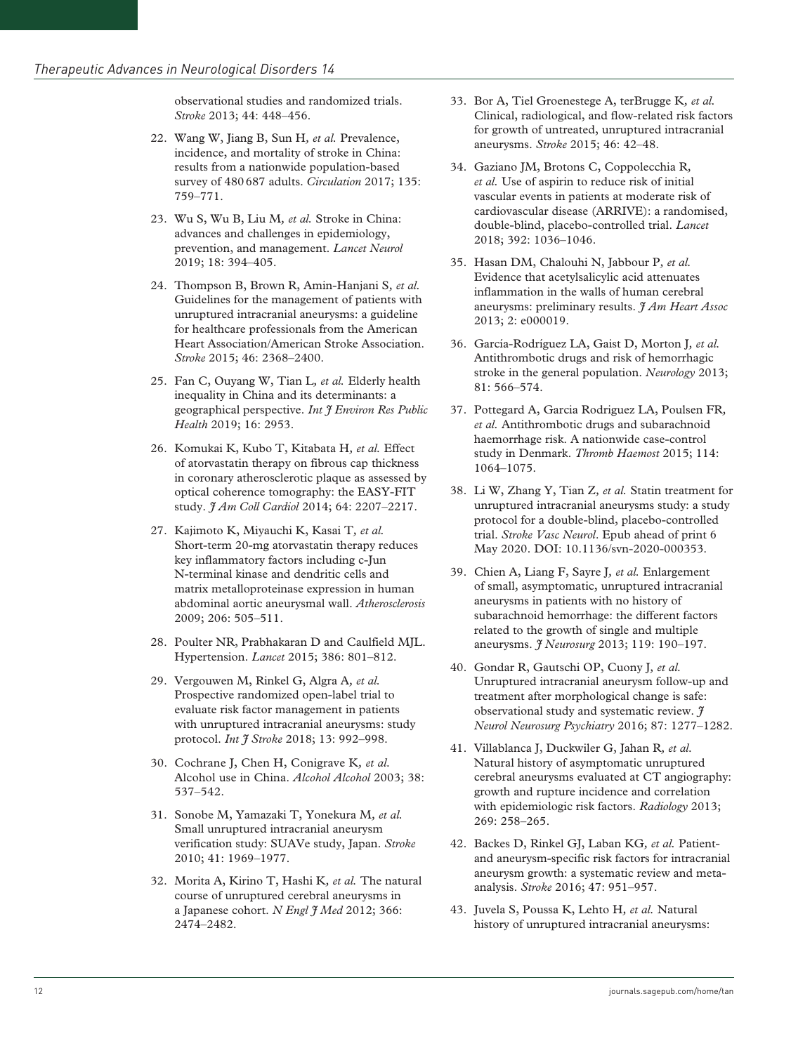observational studies and randomized trials. *Stroke* 2013; 44: 448–456.

- 22. Wang W, Jiang B, Sun H*, et al.* Prevalence, incidence, and mortality of stroke in China: results from a nationwide population-based survey of 480687 adults. *Circulation* 2017; 135: 759–771.
- 23. Wu S, Wu B, Liu M*, et al.* Stroke in China: advances and challenges in epidemiology, prevention, and management. *Lancet Neurol* 2019; 18: 394–405.
- 24. Thompson B, Brown R, Amin-Hanjani S*, et al.* Guidelines for the management of patients with unruptured intracranial aneurysms: a guideline for healthcare professionals from the American Heart Association/American Stroke Association. *Stroke* 2015; 46: 2368–2400.
- 25. Fan C, Ouyang W, Tian L*, et al.* Elderly health inequality in China and its determinants: a geographical perspective. *Int J Environ Res Public Health* 2019; 16: 2953.
- 26. Komukai K, Kubo T, Kitabata H*, et al.* Effect of atorvastatin therapy on fibrous cap thickness in coronary atherosclerotic plaque as assessed by optical coherence tomography: the EASY-FIT study. *J Am Coll Cardiol* 2014; 64: 2207–2217.
- 27. Kajimoto K, Miyauchi K, Kasai T*, et al.* Short-term 20-mg atorvastatin therapy reduces key inflammatory factors including c-Jun N-terminal kinase and dendritic cells and matrix metalloproteinase expression in human abdominal aortic aneurysmal wall. *Atherosclerosis* 2009; 206: 505–511.
- 28. Poulter NR, Prabhakaran D and Caulfield MJL. Hypertension. *Lancet* 2015; 386: 801–812.
- 29. Vergouwen M, Rinkel G, Algra A*, et al.* Prospective randomized open-label trial to evaluate risk factor management in patients with unruptured intracranial aneurysms: study protocol. *Int J Stroke* 2018; 13: 992–998.
- 30. Cochrane J, Chen H, Conigrave K*, et al.* Alcohol use in China. *Alcohol Alcohol* 2003; 38: 537–542.
- 31. Sonobe M, Yamazaki T, Yonekura M*, et al.* Small unruptured intracranial aneurysm verification study: SUAVe study, Japan. *Stroke* 2010; 41: 1969–1977.
- 32. Morita A, Kirino T, Hashi K*, et al.* The natural course of unruptured cerebral aneurysms in a Japanese cohort. *N Engl J Med* 2012; 366: 2474–2482.
- 33. Bor A, Tiel Groenestege A, terBrugge K*, et al.* Clinical, radiological, and flow-related risk factors for growth of untreated, unruptured intracranial aneurysms. *Stroke* 2015; 46: 42–48.
- 34. Gaziano JM, Brotons C, Coppolecchia R*, et al.* Use of aspirin to reduce risk of initial vascular events in patients at moderate risk of cardiovascular disease (ARRIVE): a randomised, double-blind, placebo-controlled trial. *Lancet* 2018; 392: 1036–1046.
- 35. Hasan DM, Chalouhi N, Jabbour P*, et al.* Evidence that acetylsalicylic acid attenuates inflammation in the walls of human cerebral aneurysms: preliminary results. *J Am Heart Assoc* 2013; 2: e000019.
- 36. García-Rodríguez LA, Gaist D, Morton J*, et al.* Antithrombotic drugs and risk of hemorrhagic stroke in the general population. *Neurology* 2013; 81: 566–574.
- 37. Pottegard A, Garcia Rodriguez LA, Poulsen FR*, et al.* Antithrombotic drugs and subarachnoid haemorrhage risk. A nationwide case-control study in Denmark. *Thromb Haemost* 2015; 114: 1064–1075.
- 38. Li W, Zhang Y, Tian Z*, et al.* Statin treatment for unruptured intracranial aneurysms study: a study protocol for a double-blind, placebo-controlled trial. *Stroke Vasc Neurol*. Epub ahead of print 6 May 2020. DOI: 10.1136/svn-2020-000353.
- 39. Chien A, Liang F, Sayre J*, et al.* Enlargement of small, asymptomatic, unruptured intracranial aneurysms in patients with no history of subarachnoid hemorrhage: the different factors related to the growth of single and multiple aneurysms. *J Neurosurg* 2013; 119: 190–197.
- 40. Gondar R, Gautschi OP, Cuony J*, et al.* Unruptured intracranial aneurysm follow-up and treatment after morphological change is safe: observational study and systematic review. *J Neurol Neurosurg Psychiatry* 2016; 87: 1277–1282.
- 41. Villablanca J, Duckwiler G, Jahan R*, et al.* Natural history of asymptomatic unruptured cerebral aneurysms evaluated at CT angiography: growth and rupture incidence and correlation with epidemiologic risk factors. *Radiology* 2013; 269: 258–265.
- 42. Backes D, Rinkel GJ, Laban KG*, et al.* Patientand aneurysm-specific risk factors for intracranial aneurysm growth: a systematic review and metaanalysis. *Stroke* 2016; 47: 951–957.
- 43. Juvela S, Poussa K, Lehto H*, et al.* Natural history of unruptured intracranial aneurysms: